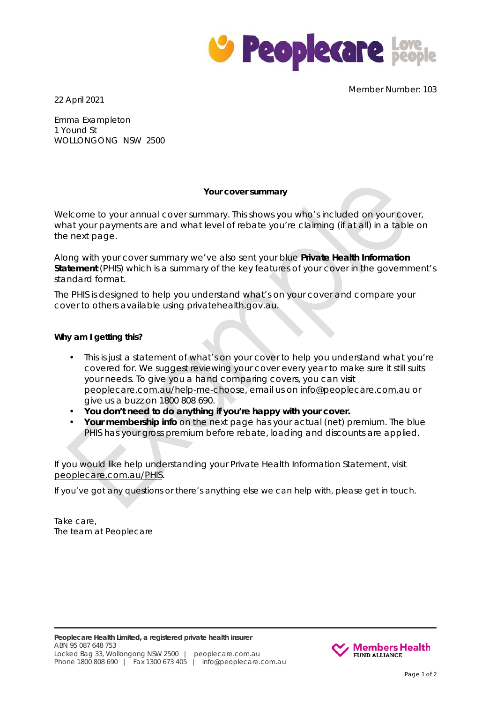

22 April 2021

Member Number: 103

Emma Exampleton 1 Yound St WOLLONGONG NSW 2500

## **Your cover summary**

Welcome to your annual cover summary. This shows you who's included on your cover, what your payments are and what level of rebate you're claiming (if at all) in a table on the next page.

Along with your cover summary we've also sent your blue **Private Health Information Statement** (PHIS) which is a summary of the key features of your cover in the government's standard format.

The PHIS is designed to help you understand what's on your cover and compare your cover to others available using privatehealth.gov.au.

## **Why am I getting this?**

- This is just a statement of what's on your cover to help you understand what you're covered for. We suggest reviewing your cover every year to make sure it still suits your needs. To give you a hand comparing covers, you can visit [peoplecare.com.au/help-me-choose,](https://www.peoplecare.com.au/help-me-choose/) email us on [info@peoplecare.com.au](mailto:info@peoplecare.com.au) or give us a buzz on 1800 808 690.
- **You don't need to do anything if you're happy with your cover.**
- **Your membership info** on the next page has your actual (net) premium. The blue PHIS has your gross premium before rebate, loading and discounts are applied.

If you would like help understanding your Private Health Information Statement, visit peoplecare.com.au/PHIS.

If you've got any questions or there's anything else we can help with, please get in touch.

Take care, The team at Peoplecare